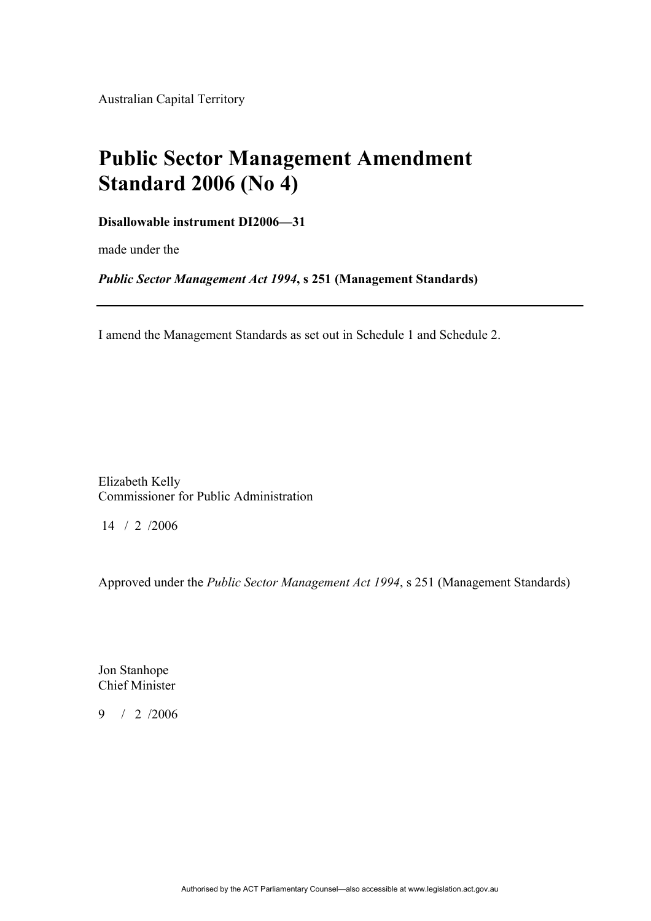Australian Capital Territory

# **Public Sector Management Amendment Standard 2006 (No 4)**

## **Disallowable instrument DI2006—31**

made under the

*Public Sector Management Act 1994***, s 251 (Management Standards)**

I amend the Management Standards as set out in Schedule 1 and Schedule 2.

Elizabeth Kelly Commissioner for Public Administration

14 / 2 /2006

Approved under the *Public Sector Management Act 1994*, s 251 (Management Standards)

Jon Stanhope Chief Minister

9 / 2 /2006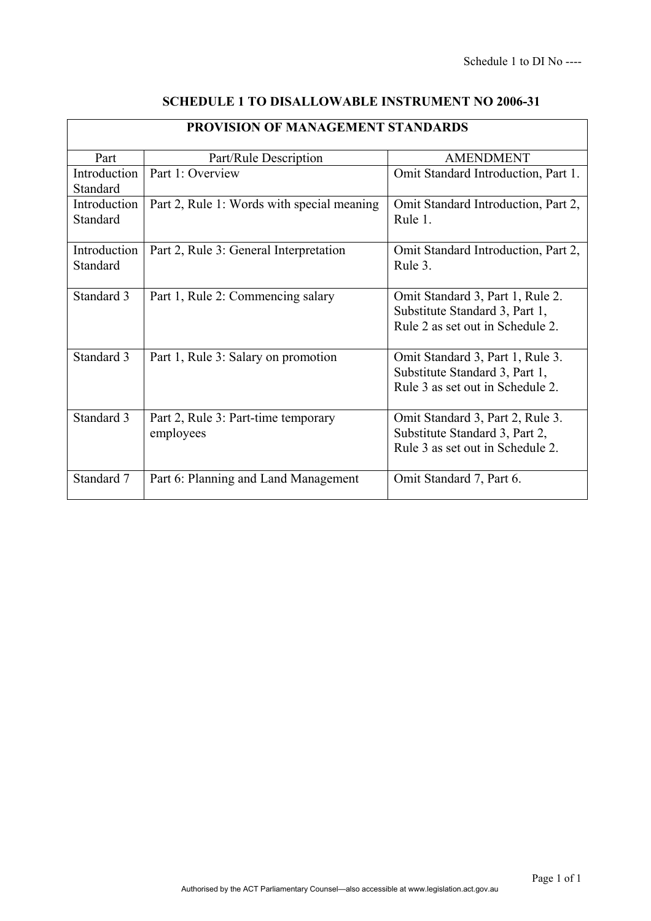| <b>PROVISION OF MANAGEMENT STANDARDS</b> |                                                  |                                                                                                        |
|------------------------------------------|--------------------------------------------------|--------------------------------------------------------------------------------------------------------|
| Part                                     | Part/Rule Description                            | <b>AMENDMENT</b>                                                                                       |
| Introduction<br>Standard                 | Part 1: Overview                                 | Omit Standard Introduction, Part 1.                                                                    |
| Introduction<br>Standard                 | Part 2, Rule 1: Words with special meaning       | Omit Standard Introduction, Part 2,<br>Rule 1.                                                         |
| Introduction<br>Standard                 | Part 2, Rule 3: General Interpretation           | Omit Standard Introduction, Part 2,<br>Rule 3.                                                         |
| Standard 3                               | Part 1, Rule 2: Commencing salary                | Omit Standard 3, Part 1, Rule 2.<br>Substitute Standard 3, Part 1,<br>Rule 2 as set out in Schedule 2. |
| Standard 3                               | Part 1, Rule 3: Salary on promotion              | Omit Standard 3, Part 1, Rule 3.<br>Substitute Standard 3, Part 1,<br>Rule 3 as set out in Schedule 2. |
| Standard 3                               | Part 2, Rule 3: Part-time temporary<br>employees | Omit Standard 3, Part 2, Rule 3.<br>Substitute Standard 3, Part 2,<br>Rule 3 as set out in Schedule 2. |
| Standard 7                               | Part 6: Planning and Land Management             | Omit Standard 7, Part 6.                                                                               |

# **SCHEDULE 1 TO DISALLOWABLE INSTRUMENT NO 2006-31**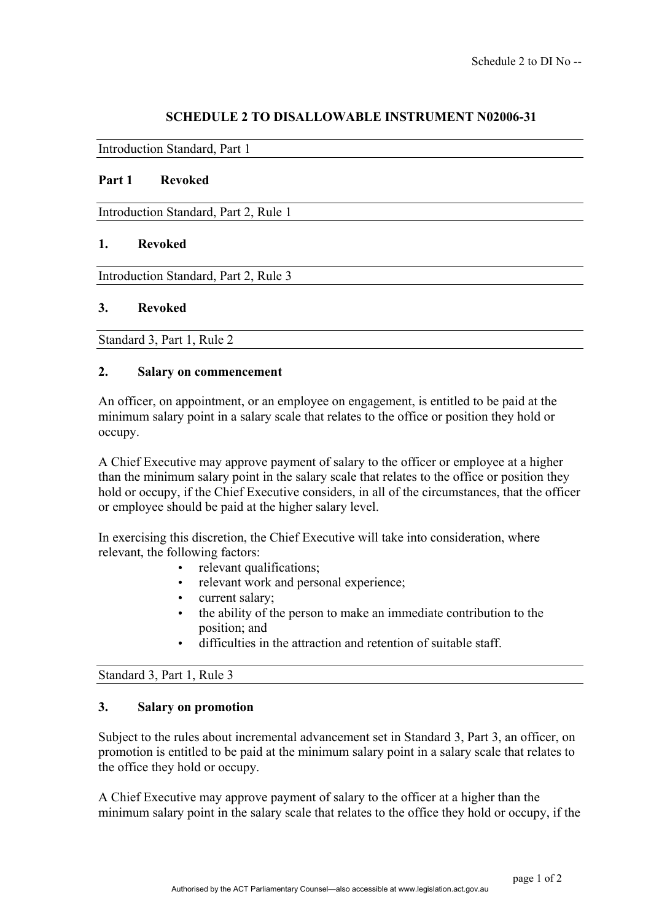## **SCHEDULE 2 TO DISALLOWABLE INSTRUMENT N02006-31**

Introduction Standard, Part 1

#### **Part 1 Revoked**

Introduction Standard, Part 2, Rule 1

#### **1. Revoked**

Introduction Standard, Part 2, Rule 3

#### **3. Revoked**

Standard 3, Part 1, Rule 2

#### **2. Salary on commencement**

An officer, on appointment, or an employee on engagement, is entitled to be paid at the minimum salary point in a salary scale that relates to the office or position they hold or occupy.

A Chief Executive may approve payment of salary to the officer or employee at a higher than the minimum salary point in the salary scale that relates to the office or position they hold or occupy, if the Chief Executive considers, in all of the circumstances, that the officer or employee should be paid at the higher salary level.

In exercising this discretion, the Chief Executive will take into consideration, where relevant, the following factors:

- relevant qualifications;
- relevant work and personal experience;
- current salary;
- the ability of the person to make an immediate contribution to the position; and
- difficulties in the attraction and retention of suitable staff.

#### Standard 3, Part 1, Rule 3

#### **3. Salary on promotion**

Subject to the rules about incremental advancement set in Standard 3, Part 3, an officer, on promotion is entitled to be paid at the minimum salary point in a salary scale that relates to the office they hold or occupy.

A Chief Executive may approve payment of salary to the officer at a higher than the minimum salary point in the salary scale that relates to the office they hold or occupy, if the